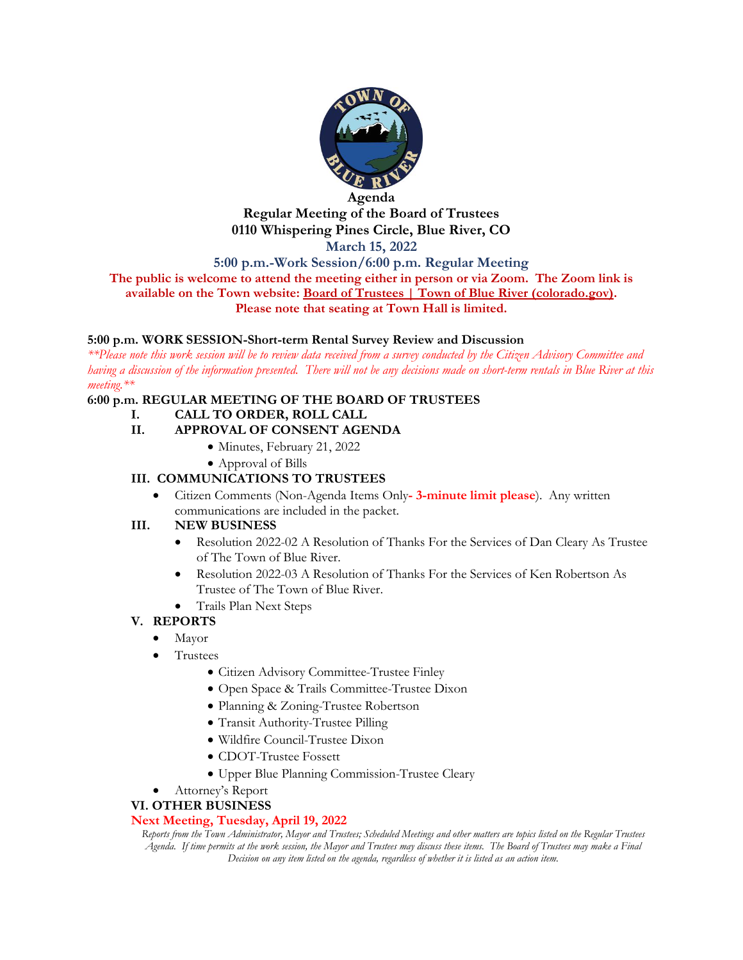

#### **Agenda Regular Meeting of the Board of Trustees 0110 Whispering Pines Circle, Blue River, CO March 15, 2022**

**5:00 p.m.-Work Session/6:00 p.m. Regular Meeting**

**The public is welcome to attend the meeting either in person or via Zoom. The Zoom link is available on the Town website: [Board of Trustees | Town of Blue River \(colorado.gov\).](https://townofblueriver.colorado.gov/board-of-trustees/commissions/committees/board-of-trustees) Please note that seating at Town Hall is limited.**

#### **5:00 p.m. WORK SESSION-Short-term Rental Survey Review and Discussion**

*\*\*Please note this work session will be to review data received from a survey conducted by the Citizen Advisory Committee and having a discussion of the information presented. There will not be any decisions made on short-term rentals in Blue River at this meeting.\*\**

#### **6:00 p.m. REGULAR MEETING OF THE BOARD OF TRUSTEES**

**I. CALL TO ORDER, ROLL CALL**

## **II. APPROVAL OF CONSENT AGENDA**

- Minutes, February 21, 2022
- Approval of Bills

### **III. COMMUNICATIONS TO TRUSTEES**

• Citizen Comments (Non-Agenda Items Only**- 3-minute limit please**). Any written communications are included in the packet.

#### **III. NEW BUSINESS**

- Resolution 2022-02 A Resolution of Thanks For the Services of Dan Cleary As Trustee of The Town of Blue River.
- Resolution 2022-03 A Resolution of Thanks For the Services of Ken Robertson As Trustee of The Town of Blue River.
- Trails Plan Next Steps

## **V. REPORTS**

- Mayor
- Trustees
	- Citizen Advisory Committee-Trustee Finley
	- Open Space & Trails Committee-Trustee Dixon
	- Planning & Zoning-Trustee Robertson
	- Transit Authority-Trustee Pilling
	- Wildfire Council-Trustee Dixon
	- CDOT-Trustee Fossett
	- Upper Blue Planning Commission-Trustee Cleary
- Attorney's Report

#### **VI. OTHER BUSINESS**

#### **Next Meeting, Tuesday, April 19, 2022**

*Reports from the Town Administrator, Mayor and Trustees; Scheduled Meetings and other matters are topics listed on the Regular Trustees Agenda. If time permits at the work session, the Mayor and Trustees may discuss these items. The Board of Trustees may make a Final Decision on any item listed on the agenda, regardless of whether it is listed as an action item.*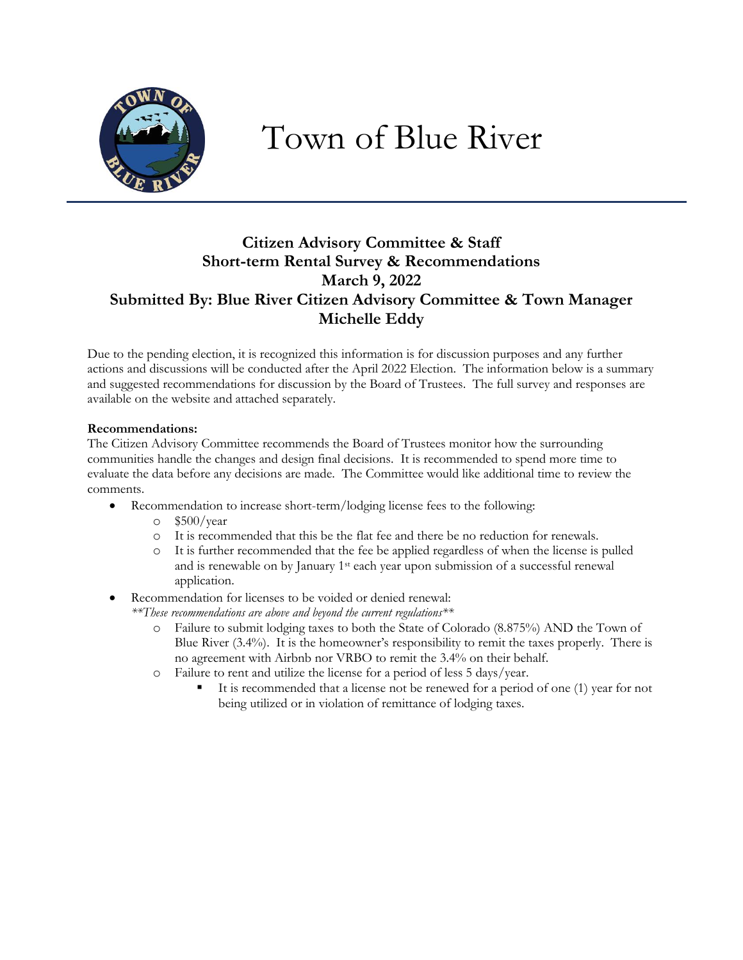

# Town of Blue River

# **Citizen Advisory Committee & Staff Short-term Rental Survey & Recommendations March 9, 2022 Submitted By: Blue River Citizen Advisory Committee & Town Manager Michelle Eddy**

Due to the pending election, it is recognized this information is for discussion purposes and any further actions and discussions will be conducted after the April 2022 Election. The information below is a summary and suggested recommendations for discussion by the Board of Trustees. The full survey and responses are available on the website and attached separately.

#### **Recommendations:**

The Citizen Advisory Committee recommends the Board of Trustees monitor how the surrounding communities handle the changes and design final decisions. It is recommended to spend more time to evaluate the data before any decisions are made. The Committee would like additional time to review the comments.

- Recommendation to increase short-term/lodging license fees to the following:
	- $\degree$  \$500/year
	- o It is recommended that this be the flat fee and there be no reduction for renewals.
	- o It is further recommended that the fee be applied regardless of when the license is pulled and is renewable on by January 1st each year upon submission of a successful renewal application.

Recommendation for licenses to be voided or denied renewal:

- *\*\*These recommendations are above and beyond the current regulations\*\**
	- o Failure to submit lodging taxes to both the State of Colorado (8.875%) AND the Town of Blue River (3.4%). It is the homeowner's responsibility to remit the taxes properly. There is no agreement with Airbnb nor VRBO to remit the 3.4% on their behalf.
	- o Failure to rent and utilize the license for a period of less 5 days/year.
		- It is recommended that a license not be renewed for a period of one (1) year for not being utilized or in violation of remittance of lodging taxes.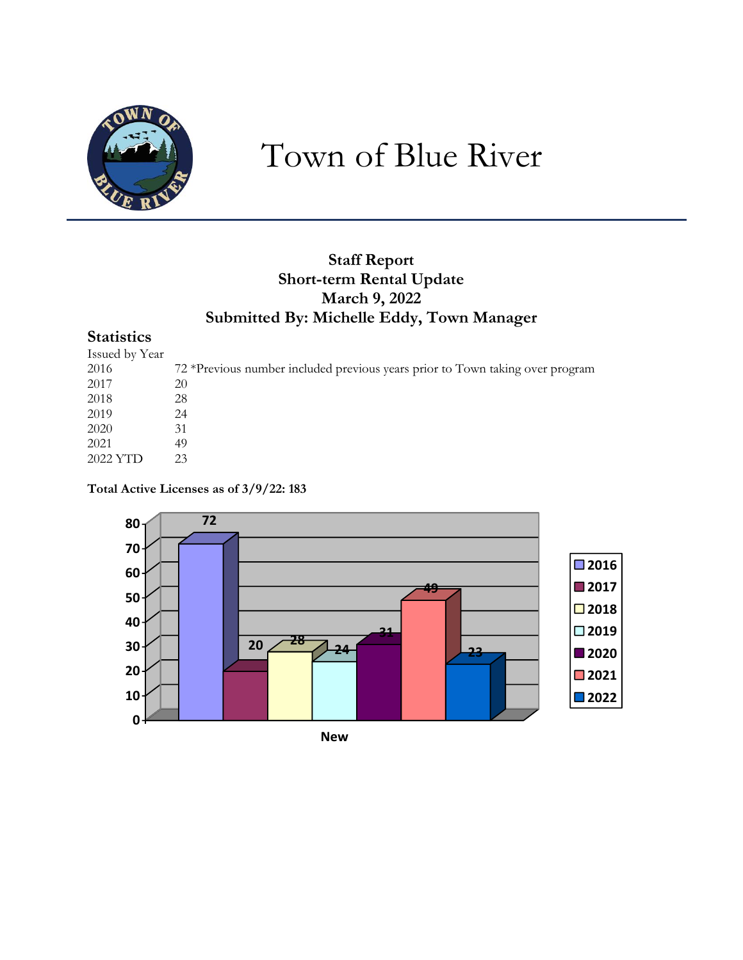

# Town of Blue River

# **Staff Report Short-term Rental Update March 9, 2022 Submitted By: Michelle Eddy, Town Manager**

# **Statistics**

| Issued by Year |                                                                               |
|----------------|-------------------------------------------------------------------------------|
| 2016           | 72 *Previous number included previous years prior to Town taking over program |
| 2017           | 20                                                                            |
| 2018           | 28                                                                            |
| 2019           | 24                                                                            |
| 2020           | 31                                                                            |
| 2021           | 49                                                                            |
| 2022 YTD       | 23                                                                            |

**Total Active Licenses as of 3/9/22: 183**

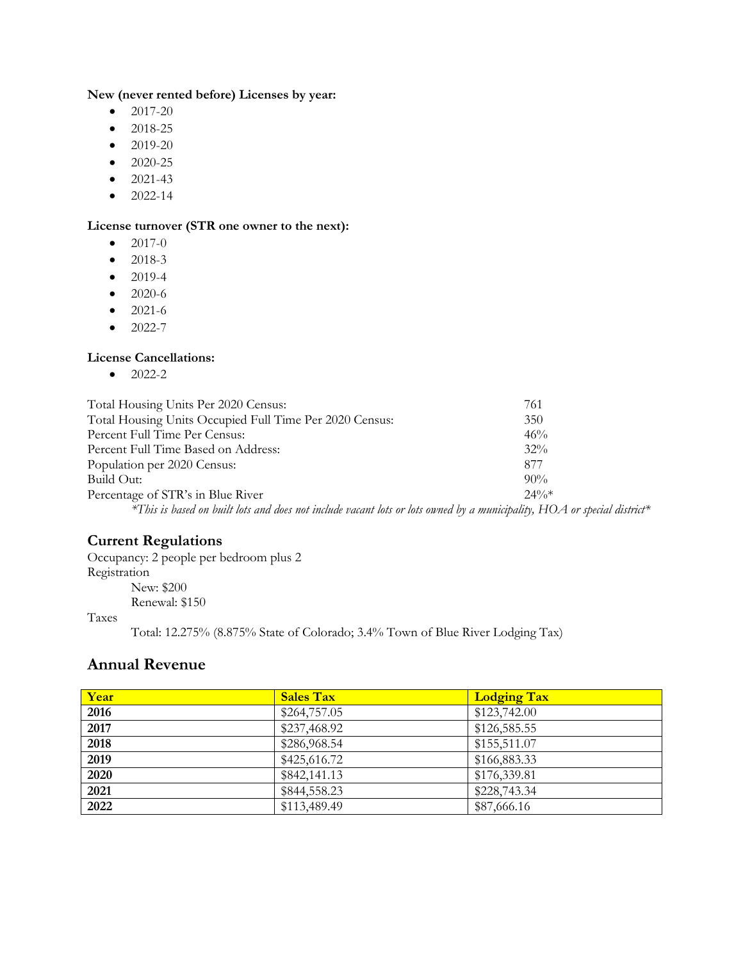## **New (never rented before) Licenses by year:**

- $\bullet$  2017-20
- $2018 25$
- $\bullet$  2019-20
- 2020-25
- $2021-43$
- $\bullet$  2022-14

## **License turnover (STR one owner to the next):**

- $\bullet$  2017-0
- $2018-3$
- 2019-4
- 2020-6
- $\bullet$  2021-6
- $2022 7$

## **License Cancellations:**

 $\bullet$  2022-2

| Total Housing Units Per 2020 Census:                                                                                    | 761      |
|-------------------------------------------------------------------------------------------------------------------------|----------|
| Total Housing Units Occupied Full Time Per 2020 Census:                                                                 | 350      |
| Percent Full Time Per Census:                                                                                           | 46%      |
| Percent Full Time Based on Address:                                                                                     | $32\%$   |
| Population per 2020 Census:                                                                                             | 877      |
| Build Out:                                                                                                              | $90\%$   |
| Percentage of STR's in Blue River                                                                                       | $2.4\%*$ |
| *This is based on built lots and does not include vacant lots or lots owned by a municipality, HOA or special district* |          |

## **Current Regulations**

Occupancy: 2 people per bedroom plus 2 Registration New: \$200 Renewal: \$150

#### Taxes

Total: 12.275% (8.875% State of Colorado; 3.4% Town of Blue River Lodging Tax)

# **Annual Revenue**

| Year | <b>Sales Tax</b> | <b>Lodging Tax</b> |
|------|------------------|--------------------|
| 2016 | \$264,757.05     | \$123,742.00       |
| 2017 | \$237,468.92     | \$126,585.55       |
| 2018 | \$286,968.54     | \$155,511.07       |
| 2019 | \$425,616.72     | \$166,883.33       |
| 2020 | \$842,141.13     | \$176,339.81       |
| 2021 | \$844,558.23     | \$228,743.34       |
| 2022 | \$113,489.49     | \$87,666.16        |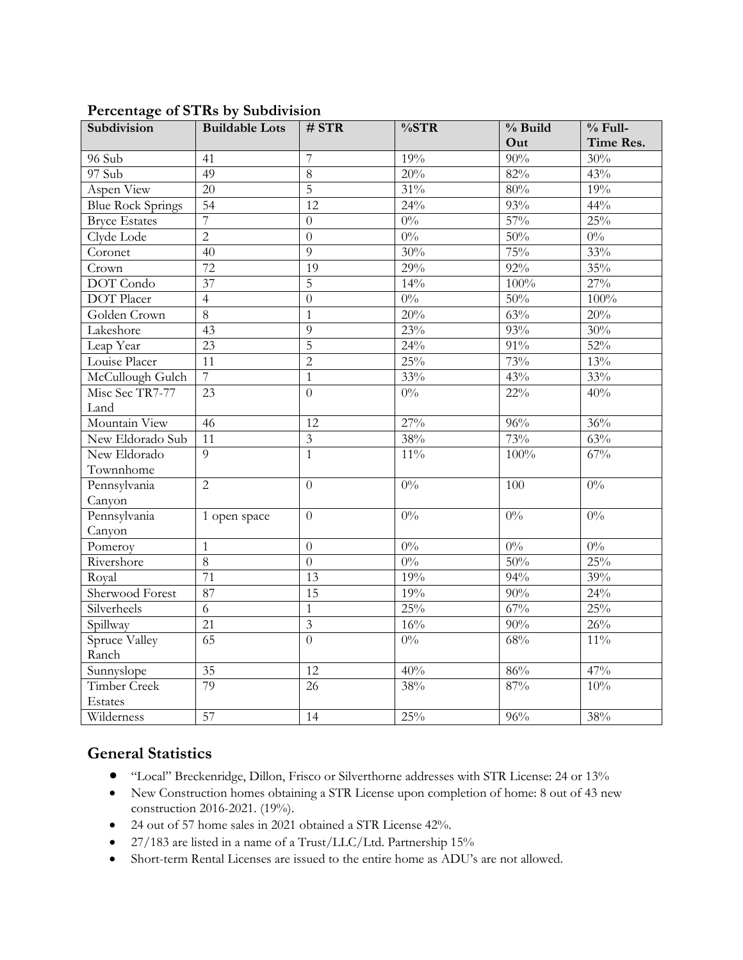| Subdivision              | <b>Buildable Lots</b> | # STR                   | $\%STR$      | $%$ Build        | $%$ Full- |
|--------------------------|-----------------------|-------------------------|--------------|------------------|-----------|
|                          |                       |                         |              | Out              | Time Res. |
| 96 Sub                   | 41                    | $\overline{7}$          | 19%          | 90%              | 30%       |
| 97 Sub                   | 49                    | $\overline{8}$          | 20%          | 82%              | 43%       |
| Aspen View               | 20                    | $\overline{5}$          | $31\%$       | 80%              | 19%       |
| <b>Blue Rock Springs</b> | 54                    | $\overline{12}$         | 24%          | 93%              | 44%       |
| <b>Bryce Estates</b>     | $\overline{7}$        | $\overline{0}$          | $0\%$        | $\frac{1}{57\%}$ | 25%       |
| Clyde Lode               | $\overline{2}$        | $\theta$                | $0\%$        | 50%              | $0\%$     |
| Coronet                  | 40                    | $\overline{9}$          | 30%          | 75%              | 33%       |
| Crown                    | 72                    | 19                      | $29\sqrt{0}$ | $92\%$           | 35%       |
| <b>DOT</b> Condo         | 37                    | 5                       | $14\%$       | 100%             | 27%       |
| <b>DOT</b> Placer        | $\overline{4}$        | $\overline{0}$          | $0\%$        | 50%              | 100%      |
| Golden Crown             | $\overline{8}$        | $\mathbf{1}$            | 20%          | 63%              | 20%       |
| Lakeshore                | 43                    | 9                       | 23%          | 93%              | 30%       |
| Leap Year                | 23                    | $\overline{5}$          | 24%          | $91\%$           | 52%       |
| Louise Placer            | $\overline{11}$       | $\overline{2}$          | 25%          | 73%              | 13%       |
| McCullough Gulch         | $\overline{7}$        | $\mathbf{1}$            | 33%          | 43%              | 33%       |
| Misc Sec TR7-77          | $\overline{23}$       | $\theta$                | $0\%$        | $22\%$           | 40%       |
| Land                     |                       |                         |              |                  |           |
| Mountain View            | $\overline{46}$       | $\overline{12}$         | 27%          | 96%              | 36%       |
| New Eldorado Sub         | 11                    | $\mathfrak{Z}$          | 38%          | 73%              | 63%       |
| New Eldorado             | $\overline{9}$        | $\overline{1}$          | $11\%$       | 100%             | 67%       |
| Townnhome                |                       |                         |              |                  |           |
| Pennsylvania             | $\overline{2}$        | $\overline{0}$          | $0\%$        | 100              | $0\%$     |
| Canyon                   |                       |                         |              |                  |           |
| Pennsylvania             | 1 open space          | $\theta$                | $0\%$        | $0\%$            | $0\%$     |
| Canyon                   |                       |                         |              |                  |           |
| Pomeroy                  | $\mathbf{1}$          | $\theta$                | $0\%$        | $0\%$            | $0\%$     |
| Rivershore               | $\overline{8}$        | $\overline{0}$          | $0\%$        | 50%              | 25%       |
| Royal                    | 71                    | 13                      | 19%          | 94%              | 39%       |
| Sherwood Forest          | 87                    | 15                      | 19%          | 90%              | 24%       |
| Silverheels              | 6                     | $\mathbf{1}$            | 25%          | 67%              | 25%       |
| Spillway                 | $\overline{21}$       | $\overline{\mathbf{3}}$ | 16%          | 90%              | 26%       |
| Spruce Valley            | $\overline{65}$       | $\overline{0}$          | $0\%$        | 68%              | $11\%$    |
| Ranch                    |                       |                         |              |                  |           |
| Sunnyslope               | $\overline{35}$       | $\overline{12}$         | 40%          | 86%              | 47%       |
| <b>Timber Creek</b>      | 79                    | 26                      | 38%          | 87%              | 10%       |
| Estates                  |                       |                         |              |                  |           |
| Wilderness               | $\overline{57}$       | 14                      | 25%          | 96%              | 38%       |

## **Percentage of STRs by Subdivision**

# **General Statistics**

- "Local" Breckenridge, Dillon, Frisco or Silverthorne addresses with STR License: 24 or 13%
- New Construction homes obtaining a STR License upon completion of home: 8 out of 43 new construction 2016-2021. (19%).
- 24 out of 57 home sales in 2021 obtained a STR License 42%.
- 27/183 are listed in a name of a Trust/LLC/Ltd. Partnership 15%
- Short-term Rental Licenses are issued to the entire home as ADU's are not allowed.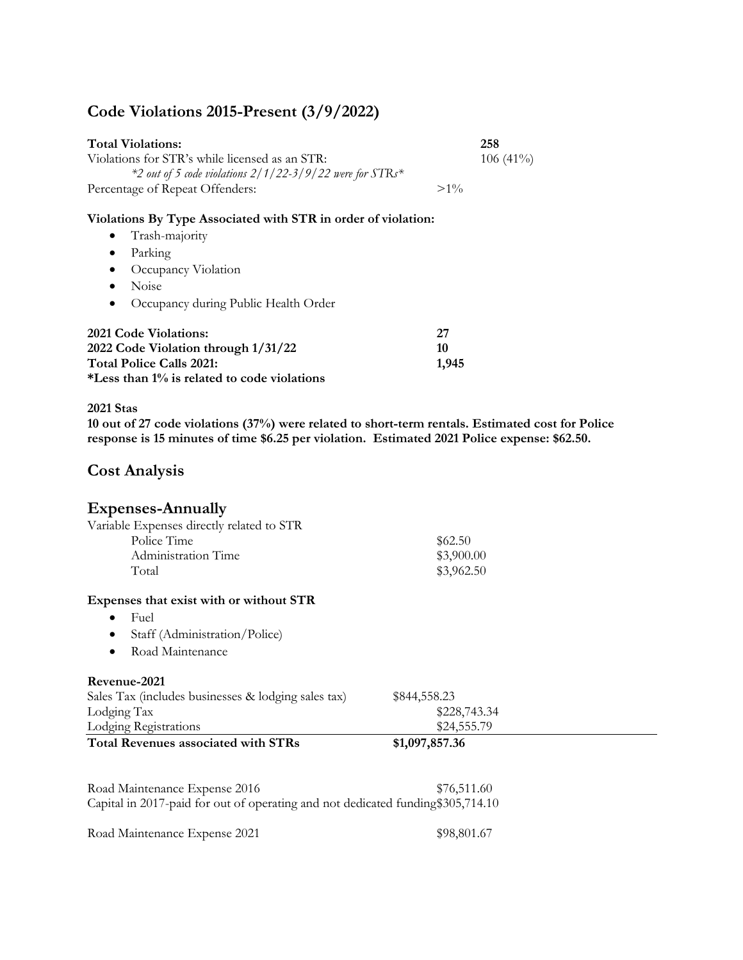# **Code Violations 2015-Present (3/9/2022)**

| <b>Total Violations:</b>                                   |        | 258         |
|------------------------------------------------------------|--------|-------------|
| Violations for STR's while licensed as an STR:             |        | $106(41\%)$ |
| $*2$ out of 5 code violations 2/1/22-3/9/22 were for STRs* |        |             |
| Percentage of Repeat Offenders:                            | $>1\%$ |             |

#### **Violations By Type Associated with STR in order of violation:**

- Trash-majority
- Parking
- Occupancy Violation
- Noise
- Occupancy during Public Health Order

| <b>2021 Code Violations:</b>                | -27   |
|---------------------------------------------|-------|
| 2022 Code Violation through 1/31/22         | 10    |
| <b>Total Police Calls 2021:</b>             | 1.945 |
| *Less than 1% is related to code violations |       |

#### **2021 Stas**

**10 out of 27 code violations (37%) were related to short-term rentals. Estimated cost for Police response is 15 minutes of time \$6.25 per violation. Estimated 2021 Police expense: \$62.50.**

## **Cost Analysis**

## **Expenses-Annually**

|       | Variable Expenses directly related to STR |            |
|-------|-------------------------------------------|------------|
|       | Police Time                               | \$62.50    |
|       | Administration Time                       | \$3,900.00 |
| Total |                                           | \$3,962.50 |

#### **Expenses that exist with or without STR**

- Fuel
- Staff (Administration/Police)
- Road Maintenance

#### **Revenue-2021**

| <b>Total Revenues associated with STRs</b>          | \$1,097,857.36 |  |
|-----------------------------------------------------|----------------|--|
| Lodging Registrations                               | \$24,555.79    |  |
| Lodging Tax                                         | \$228,743.34   |  |
| Sales Tax (includes businesses & lodging sales tax) | \$844,558.23   |  |

Road Maintenance Expense 2016 \$76,511.60 Capital in 2017-paid for out of operating and not dedicated funding\$305,714.10

Road Maintenance Expense 2021 \$98,801.67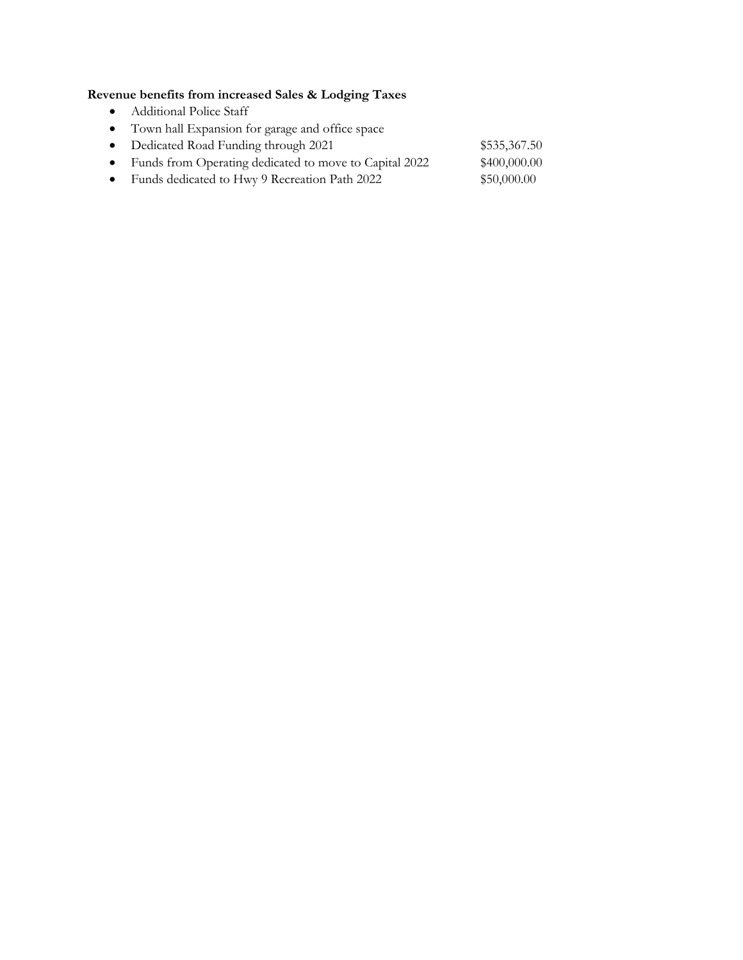# **Revenue benefits from increased Sales & Lodging Taxes**

- Additional Police Staff
- Town hall Expansion for garage and office space
- Dedicated Road Funding through 2021 \$535,367.50 • Funds from Operating dedicated to move to Capital 2022 \$400,000.00
- Funds dedicated to Hwy 9 Recreation Path 2022 \$50,000.00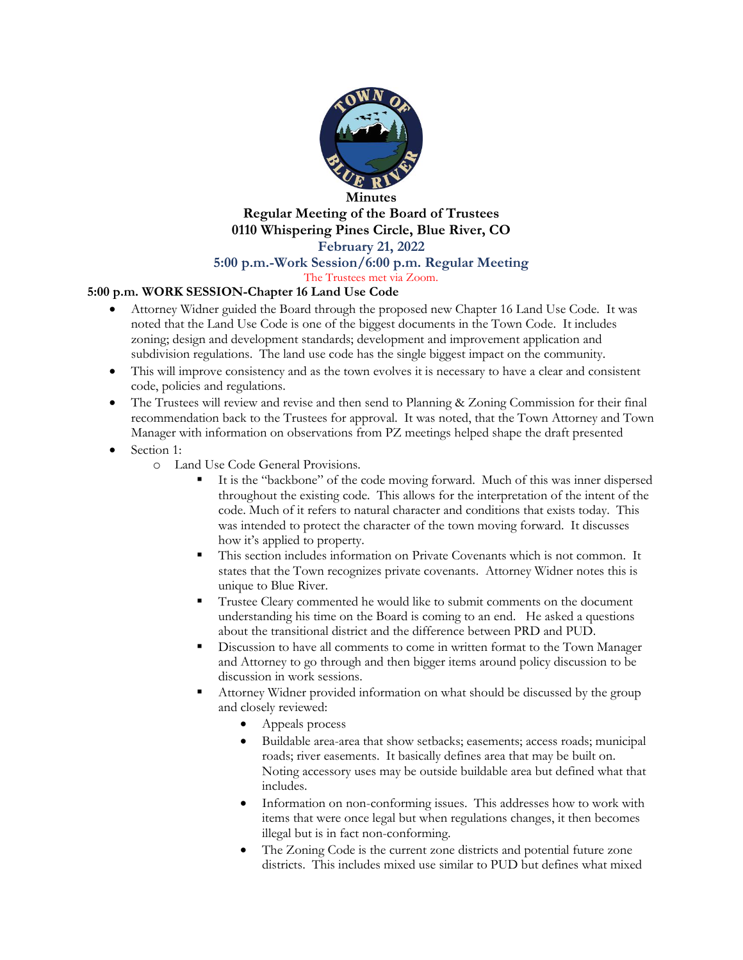

## **Minutes Regular Meeting of the Board of Trustees 0110 Whispering Pines Circle, Blue River, CO February 21, 2022**

### **5:00 p.m.-Work Session/6:00 p.m. Regular Meeting**

### The Trustees met via Zoom.

#### **5:00 p.m. WORK SESSION-Chapter 16 Land Use Code**

- Attorney Widner guided the Board through the proposed new Chapter 16 Land Use Code. It was noted that the Land Use Code is one of the biggest documents in the Town Code. It includes zoning; design and development standards; development and improvement application and subdivision regulations. The land use code has the single biggest impact on the community.
- This will improve consistency and as the town evolves it is necessary to have a clear and consistent code, policies and regulations.
- The Trustees will review and revise and then send to Planning & Zoning Commission for their final recommendation back to the Trustees for approval. It was noted, that the Town Attorney and Town Manager with information on observations from PZ meetings helped shape the draft presented
- Section 1:
	- o Land Use Code General Provisions.
		- It is the "backbone" of the code moving forward. Much of this was inner dispersed throughout the existing code. This allows for the interpretation of the intent of the code. Much of it refers to natural character and conditions that exists today. This was intended to protect the character of the town moving forward. It discusses how it's applied to property.
		- This section includes information on Private Covenants which is not common. It states that the Town recognizes private covenants. Attorney Widner notes this is unique to Blue River.
		- Trustee Cleary commented he would like to submit comments on the document understanding his time on the Board is coming to an end. He asked a questions about the transitional district and the difference between PRD and PUD.
		- Discussion to have all comments to come in written format to the Town Manager and Attorney to go through and then bigger items around policy discussion to be discussion in work sessions.
		- Attorney Widner provided information on what should be discussed by the group and closely reviewed:
			- Appeals process
			- Buildable area-area that show setbacks; easements; access roads; municipal roads; river easements. It basically defines area that may be built on. Noting accessory uses may be outside buildable area but defined what that includes.
			- Information on non-conforming issues. This addresses how to work with items that were once legal but when regulations changes, it then becomes illegal but is in fact non-conforming.
			- The Zoning Code is the current zone districts and potential future zone districts. This includes mixed use similar to PUD but defines what mixed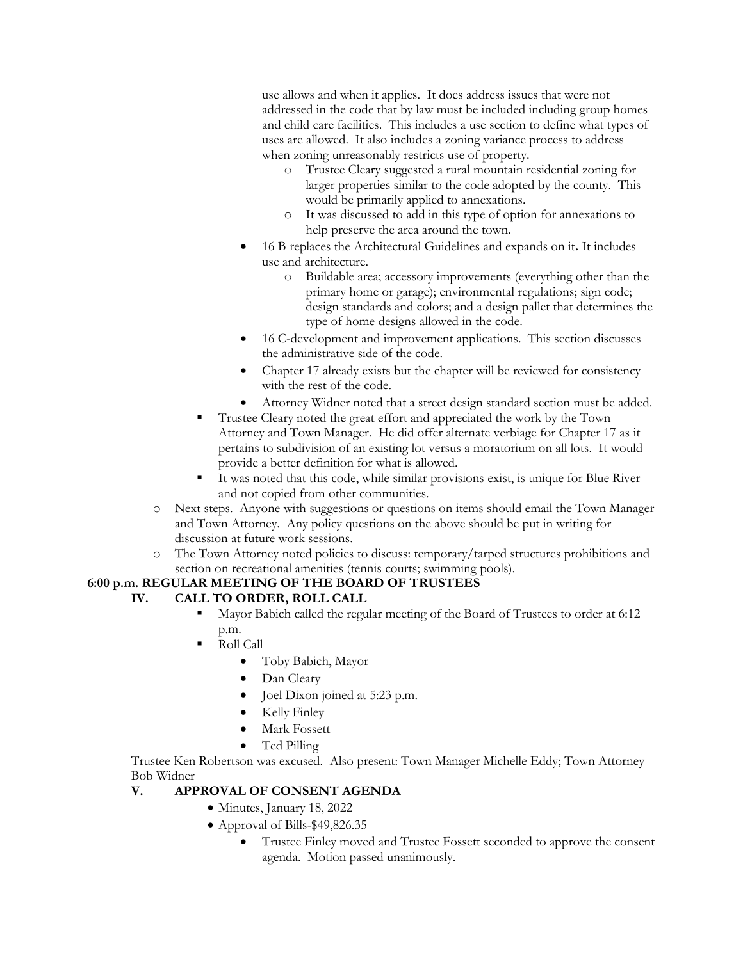use allows and when it applies. It does address issues that were not addressed in the code that by law must be included including group homes and child care facilities. This includes a use section to define what types of uses are allowed. It also includes a zoning variance process to address when zoning unreasonably restricts use of property.

- o Trustee Cleary suggested a rural mountain residential zoning for larger properties similar to the code adopted by the county. This would be primarily applied to annexations.
- o It was discussed to add in this type of option for annexations to help preserve the area around the town.
- 16 B replaces the Architectural Guidelines and expands on it**.** It includes use and architecture.
	- o Buildable area; accessory improvements (everything other than the primary home or garage); environmental regulations; sign code; design standards and colors; and a design pallet that determines the type of home designs allowed in the code.
- 16 C-development and improvement applications. This section discusses the administrative side of the code.
- Chapter 17 already exists but the chapter will be reviewed for consistency with the rest of the code.
- Attorney Widner noted that a street design standard section must be added.
- Trustee Cleary noted the great effort and appreciated the work by the Town Attorney and Town Manager. He did offer alternate verbiage for Chapter 17 as it pertains to subdivision of an existing lot versus a moratorium on all lots. It would provide a better definition for what is allowed.
- It was noted that this code, while similar provisions exist, is unique for Blue River and not copied from other communities.
- o Next steps. Anyone with suggestions or questions on items should email the Town Manager and Town Attorney. Any policy questions on the above should be put in writing for discussion at future work sessions.
- o The Town Attorney noted policies to discuss: temporary/tarped structures prohibitions and section on recreational amenities (tennis courts; swimming pools).

## **6:00 p.m. REGULAR MEETING OF THE BOARD OF TRUSTEES**

## **IV. CALL TO ORDER, ROLL CALL**

- Mayor Babich called the regular meeting of the Board of Trustees to order at 6:12 p.m.
- Roll Call
	- Toby Babich, Mayor
	- Dan Cleary
	- Joel Dixon joined at 5:23 p.m.
	- Kelly Finley
	- Mark Fossett
	- Ted Pilling

Trustee Ken Robertson was excused. Also present: Town Manager Michelle Eddy; Town Attorney Bob Widner

## **V. APPROVAL OF CONSENT AGENDA**

- Minutes, January 18, 2022
- Approval of Bills-\$49,826.35
	- Trustee Finley moved and Trustee Fossett seconded to approve the consent agenda. Motion passed unanimously.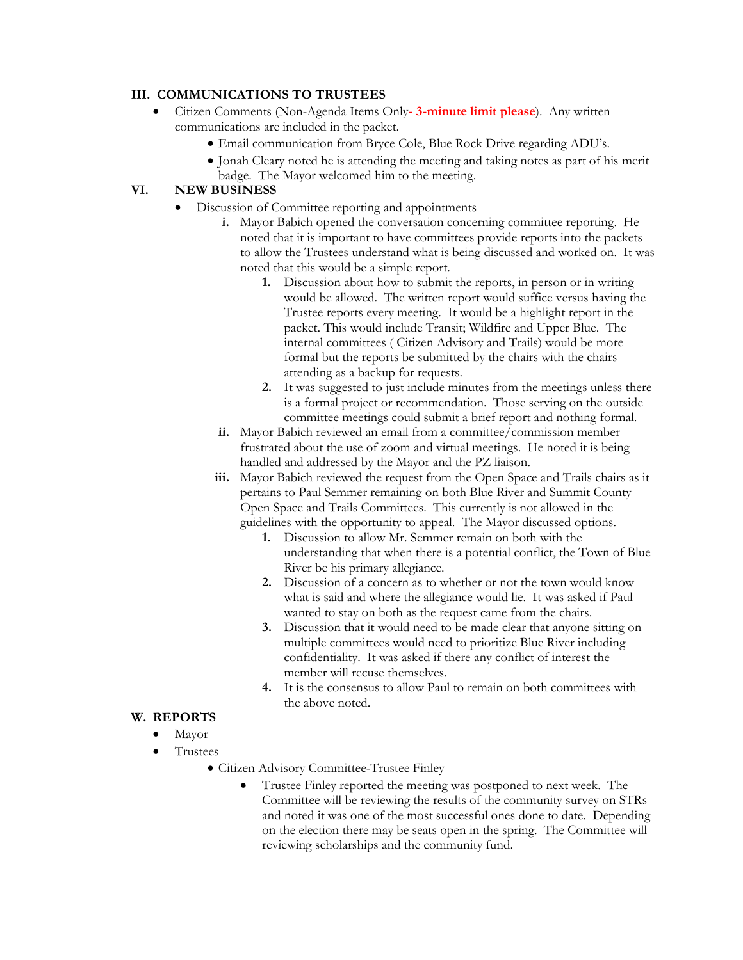### **III. COMMUNICATIONS TO TRUSTEES**

- Citizen Comments (Non-Agenda Items Only**- 3-minute limit please**). Any written communications are included in the packet.
	- Email communication from Bryce Cole, Blue Rock Drive regarding ADU's.
	- Jonah Cleary noted he is attending the meeting and taking notes as part of his merit badge. The Mayor welcomed him to the meeting.

## **VI. NEW BUSINESS**

- Discussion of Committee reporting and appointments
	- **i.** Mayor Babich opened the conversation concerning committee reporting. He noted that it is important to have committees provide reports into the packets to allow the Trustees understand what is being discussed and worked on. It was noted that this would be a simple report.
		- **1.** Discussion about how to submit the reports, in person or in writing would be allowed. The written report would suffice versus having the Trustee reports every meeting. It would be a highlight report in the packet. This would include Transit; Wildfire and Upper Blue. The internal committees ( Citizen Advisory and Trails) would be more formal but the reports be submitted by the chairs with the chairs attending as a backup for requests.
		- **2.** It was suggested to just include minutes from the meetings unless there is a formal project or recommendation. Those serving on the outside committee meetings could submit a brief report and nothing formal.
	- **ii.** Mayor Babich reviewed an email from a committee/commission member frustrated about the use of zoom and virtual meetings. He noted it is being handled and addressed by the Mayor and the PZ liaison.
	- **iii.** Mayor Babich reviewed the request from the Open Space and Trails chairs as it pertains to Paul Semmer remaining on both Blue River and Summit County Open Space and Trails Committees. This currently is not allowed in the guidelines with the opportunity to appeal. The Mayor discussed options.
		- **1.** Discussion to allow Mr. Semmer remain on both with the understanding that when there is a potential conflict, the Town of Blue River be his primary allegiance.
		- **2.** Discussion of a concern as to whether or not the town would know what is said and where the allegiance would lie. It was asked if Paul wanted to stay on both as the request came from the chairs.
		- **3.** Discussion that it would need to be made clear that anyone sitting on multiple committees would need to prioritize Blue River including confidentiality. It was asked if there any conflict of interest the member will recuse themselves.
		- **4.** It is the consensus to allow Paul to remain on both committees with the above noted.

#### **W. REPORTS**

- Mayor
- Trustees
	- Citizen Advisory Committee-Trustee Finley
		- Trustee Finley reported the meeting was postponed to next week. The Committee will be reviewing the results of the community survey on STRs and noted it was one of the most successful ones done to date. Depending on the election there may be seats open in the spring. The Committee will reviewing scholarships and the community fund.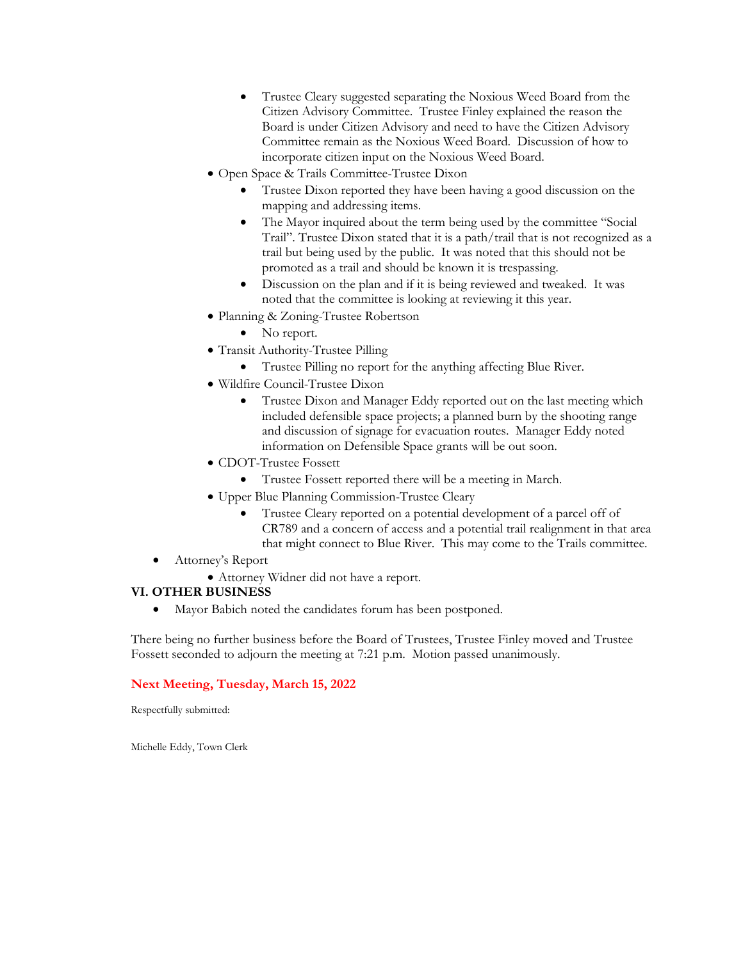- Trustee Cleary suggested separating the Noxious Weed Board from the Citizen Advisory Committee. Trustee Finley explained the reason the Board is under Citizen Advisory and need to have the Citizen Advisory Committee remain as the Noxious Weed Board. Discussion of how to incorporate citizen input on the Noxious Weed Board.
- Open Space & Trails Committee-Trustee Dixon
	- Trustee Dixon reported they have been having a good discussion on the mapping and addressing items.
	- The Mayor inquired about the term being used by the committee "Social Trail". Trustee Dixon stated that it is a path/trail that is not recognized as a trail but being used by the public. It was noted that this should not be promoted as a trail and should be known it is trespassing.
	- Discussion on the plan and if it is being reviewed and tweaked. It was noted that the committee is looking at reviewing it this year.
- Planning & Zoning-Trustee Robertson
	- No report.
- Transit Authority-Trustee Pilling
	- Trustee Pilling no report for the anything affecting Blue River.
- Wildfire Council-Trustee Dixon
	- Trustee Dixon and Manager Eddy reported out on the last meeting which included defensible space projects; a planned burn by the shooting range and discussion of signage for evacuation routes. Manager Eddy noted information on Defensible Space grants will be out soon.
- CDOT-Trustee Fossett
	- Trustee Fossett reported there will be a meeting in March.
- Upper Blue Planning Commission-Trustee Cleary
	- Trustee Cleary reported on a potential development of a parcel off of CR789 and a concern of access and a potential trail realignment in that area that might connect to Blue River. This may come to the Trails committee.
- Attorney's Report
	- Attorney Widner did not have a report.

#### **VI. OTHER BUSINESS**

• Mayor Babich noted the candidates forum has been postponed.

There being no further business before the Board of Trustees, Trustee Finley moved and Trustee Fossett seconded to adjourn the meeting at 7:21 p.m. Motion passed unanimously.

#### **Next Meeting, Tuesday, March 15, 2022**

Respectfully submitted:

Michelle Eddy, Town Clerk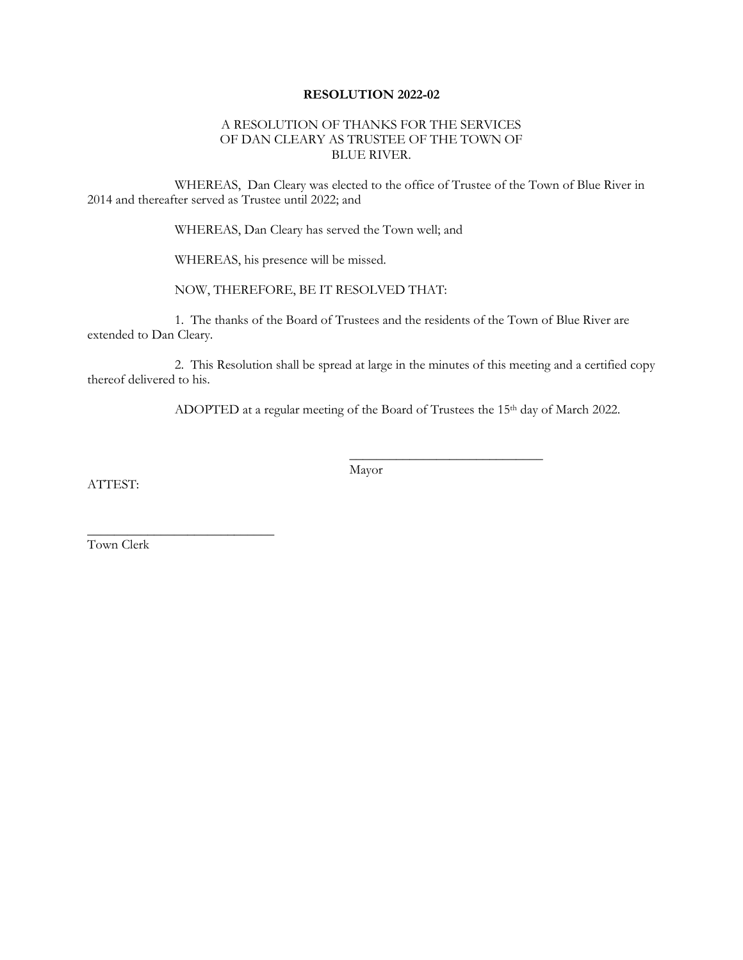#### **RESOLUTION 2022-02**

#### A RESOLUTION OF THANKS FOR THE SERVICES OF DAN CLEARY AS TRUSTEE OF THE TOWN OF BLUE RIVER.

WHEREAS, Dan Cleary was elected to the office of Trustee of the Town of Blue River in 2014 and thereafter served as Trustee until 2022; and

WHEREAS, Dan Cleary has served the Town well; and

WHEREAS, his presence will be missed.

NOW, THEREFORE, BE IT RESOLVED THAT:

1. The thanks of the Board of Trustees and the residents of the Town of Blue River are extended to Dan Cleary.

2. This Resolution shall be spread at large in the minutes of this meeting and a certified copy thereof delivered to his.

ADOPTED at a regular meeting of the Board of Trustees the 15<sup>th</sup> day of March 2022.

 $\frac{1}{2}$  ,  $\frac{1}{2}$  ,  $\frac{1}{2}$  ,  $\frac{1}{2}$  ,  $\frac{1}{2}$  ,  $\frac{1}{2}$  ,  $\frac{1}{2}$  ,  $\frac{1}{2}$  ,  $\frac{1}{2}$  ,  $\frac{1}{2}$  ,  $\frac{1}{2}$  ,  $\frac{1}{2}$  ,  $\frac{1}{2}$  ,  $\frac{1}{2}$  ,  $\frac{1}{2}$  ,  $\frac{1}{2}$  ,  $\frac{1}{2}$  ,  $\frac{1}{2}$  ,  $\frac{1$ 

ATTEST:

Mayor

Town Clerk

\_\_\_\_\_\_\_\_\_\_\_\_\_\_\_\_\_\_\_\_\_\_\_\_\_\_\_\_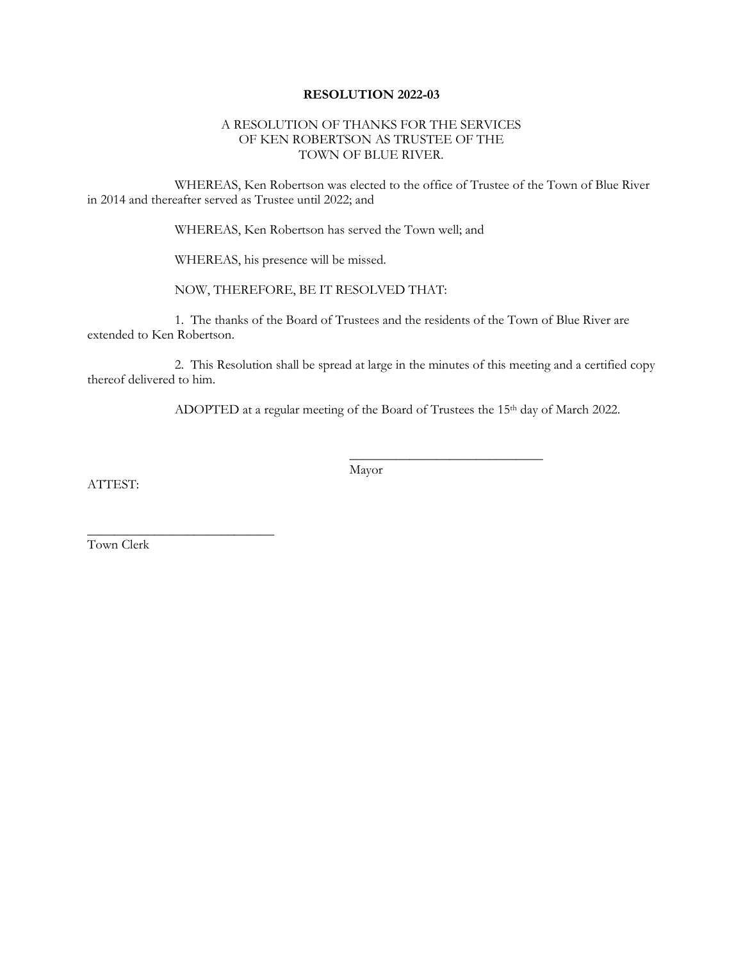#### **RESOLUTION 2022-03**

#### A RESOLUTION OF THANKS FOR THE SERVICES OF KEN ROBERTSON AS TRUSTEE OF THE TOWN OF BLUE RIVER.

WHEREAS, Ken Robertson was elected to the office of Trustee of the Town of Blue River in 2014 and thereafter served as Trustee until 2022; and

WHEREAS, Ken Robertson has served the Town well; and

WHEREAS, his presence will be missed.

NOW, THEREFORE, BE IT RESOLVED THAT:

1. The thanks of the Board of Trustees and the residents of the Town of Blue River are extended to Ken Robertson.

2. This Resolution shall be spread at large in the minutes of this meeting and a certified copy thereof delivered to him.

ADOPTED at a regular meeting of the Board of Trustees the 15<sup>th</sup> day of March 2022.

 $\frac{1}{2}$  ,  $\frac{1}{2}$  ,  $\frac{1}{2}$  ,  $\frac{1}{2}$  ,  $\frac{1}{2}$  ,  $\frac{1}{2}$  ,  $\frac{1}{2}$  ,  $\frac{1}{2}$  ,  $\frac{1}{2}$  ,  $\frac{1}{2}$  ,  $\frac{1}{2}$  ,  $\frac{1}{2}$  ,  $\frac{1}{2}$  ,  $\frac{1}{2}$  ,  $\frac{1}{2}$  ,  $\frac{1}{2}$  ,  $\frac{1}{2}$  ,  $\frac{1}{2}$  ,  $\frac{1$ 

ATTEST:

Mayor

Town Clerk

\_\_\_\_\_\_\_\_\_\_\_\_\_\_\_\_\_\_\_\_\_\_\_\_\_\_\_\_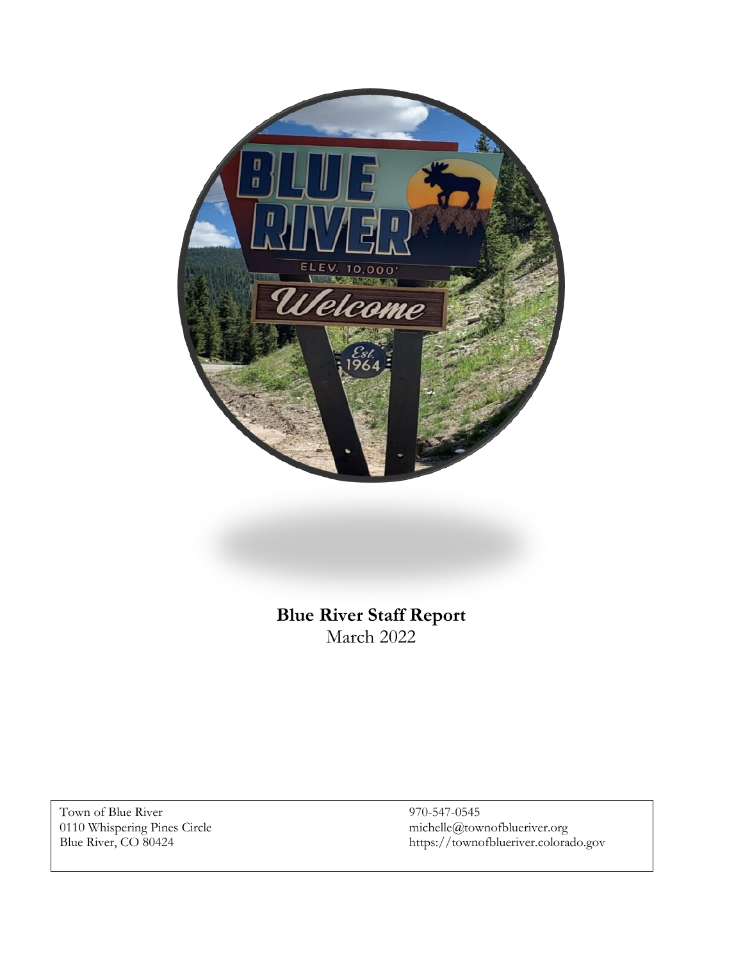

**Blue River Staff Report** March 2022

Town of Blue River 970-547-0545<br>0110 Whispering Pines Circle michelle@town

0110 Whispering Pines Circle michelle@townofblueriver.org Blue River, CO 80424 https://townofblueriver.colorado.gov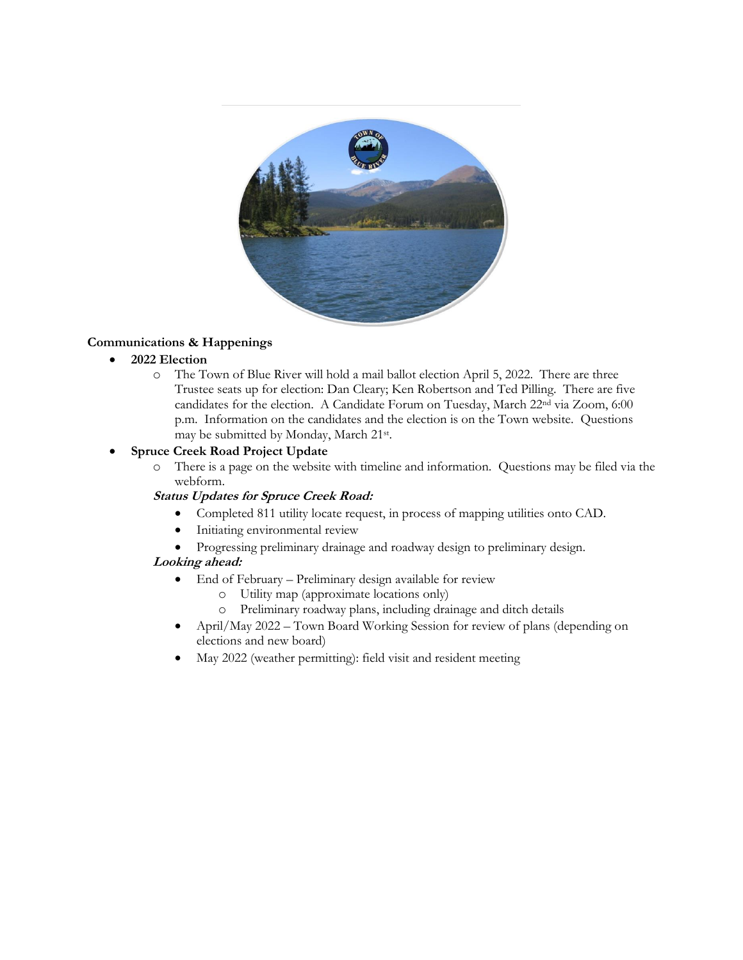

## **Communications & Happenings**

### • **2022 Election**

o The Town of Blue River will hold a mail ballot election April 5, 2022. There are three Trustee seats up for election: Dan Cleary; Ken Robertson and Ted Pilling. There are five candidates for the election. A Candidate Forum on Tuesday, March 22nd via Zoom, 6:00 p.m. Information on the candidates and the election is on the Town website. Questions may be submitted by Monday, March 21st .

### • **Spruce Creek Road Project Update**

o There is a page on the website with timeline and information. Questions may be filed via the webform.

#### **Status Updates for Spruce Creek Road:**

- Completed 811 utility locate request, in process of mapping utilities onto CAD.
- Initiating environmental review
- Progressing preliminary drainage and roadway design to preliminary design.

## **Looking ahead:**

- End of February Preliminary design available for review
	- o Utility map (approximate locations only)
	- o Preliminary roadway plans, including drainage and ditch details
- April/May 2022 Town Board Working Session for review of plans (depending on elections and new board)
- May 2022 (weather permitting): field visit and resident meeting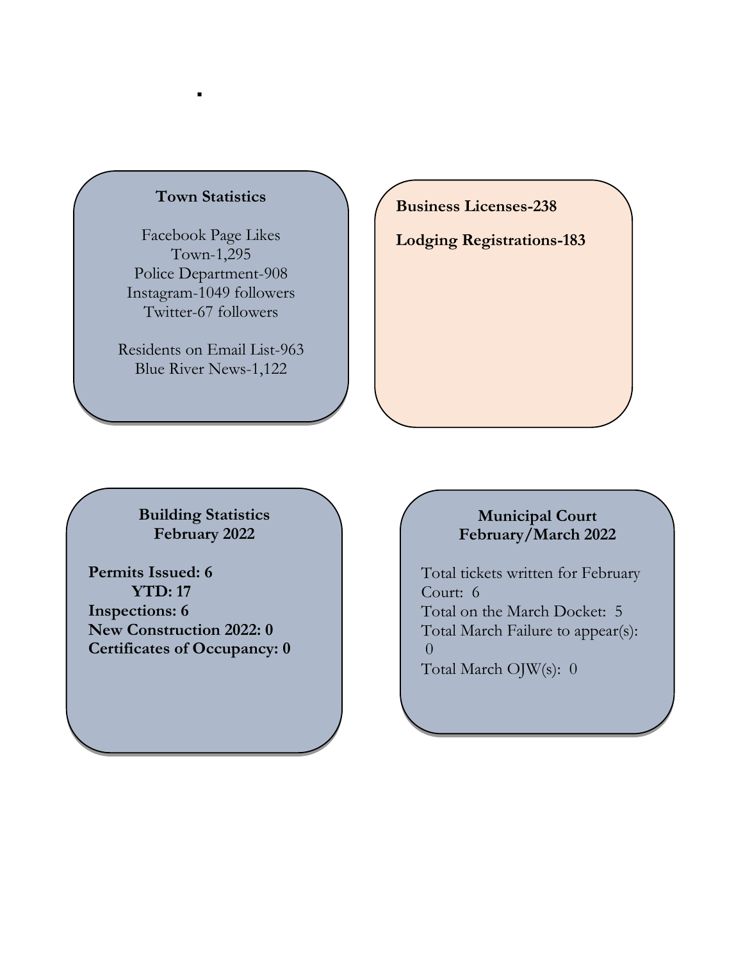# **Town Statistics**

▪

Facebook Page Likes Town-1,295 Police Department-908 Instagram-1049 followers Twitter-67 followers

Residents on Email List-963 Blue River News-1,122

**Business Licenses-238**

**Lodging Registrations-183**

**Building Statistics February 2022**

**Permits Issued: 6 YTD: 17 Inspections: 6 New Construction 2022: 0 Certificates of Occupancy: 0**

# **Municipal Court February/March 2022**

Total tickets written for February Court: 6 Total on the March Docket: 5 Total March Failure to appear(s): 0 Total March OJW(s): 0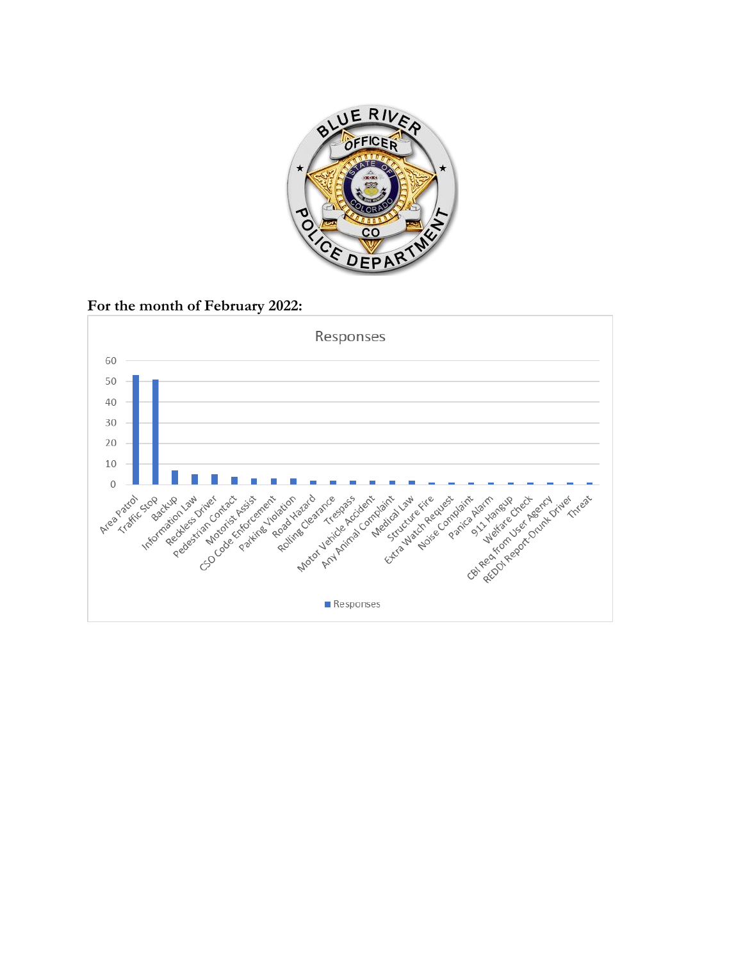

**For the month of February 2022:**

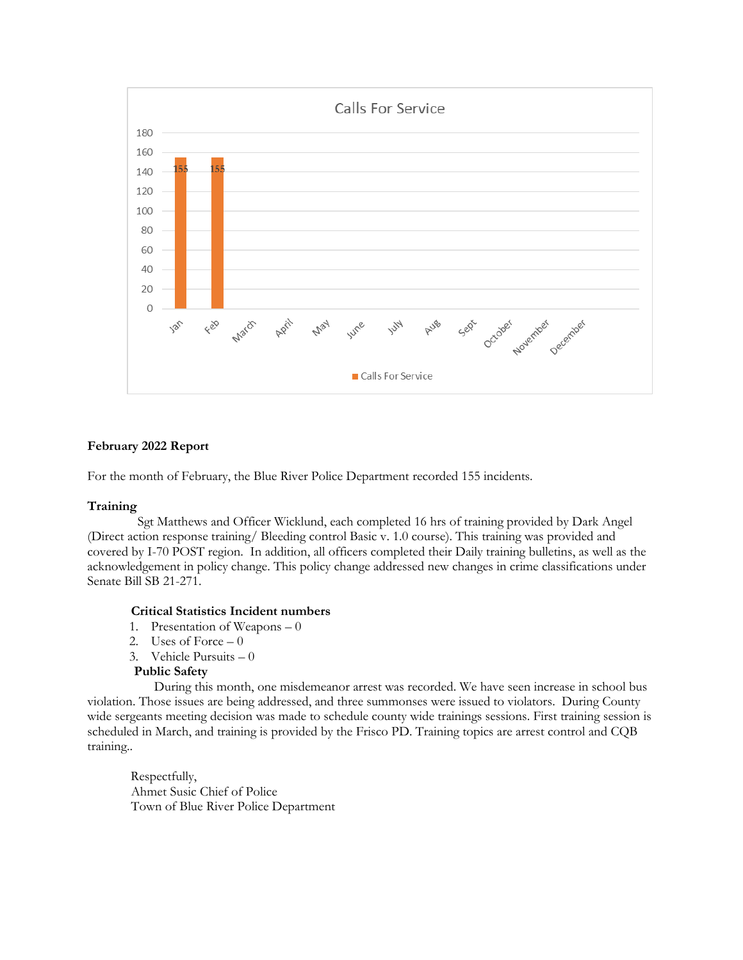

### **February 2022 Report**

For the month of February, the Blue River Police Department recorded 155 incidents.

#### **Training**

Sgt Matthews and Officer Wicklund, each completed 16 hrs of training provided by Dark Angel (Direct action response training/ Bleeding control Basic v. 1.0 course). This training was provided and covered by I-70 POST region. In addition, all officers completed their Daily training bulletins, as well as the acknowledgement in policy change. This policy change addressed new changes in crime classifications under Senate Bill SB 21-271.

#### **Critical Statistics Incident numbers**

- 1. Presentation of Weapons 0
- 2. Uses of Force  $-0$
- 3. Vehicle Pursuits 0

#### **Public Safety**

During this month, one misdemeanor arrest was recorded. We have seen increase in school bus violation. Those issues are being addressed, and three summonses were issued to violators. During County wide sergeants meeting decision was made to schedule county wide trainings sessions. First training session is scheduled in March, and training is provided by the Frisco PD. Training topics are arrest control and CQB training..

Respectfully, Ahmet Susic Chief of Police Town of Blue River Police Department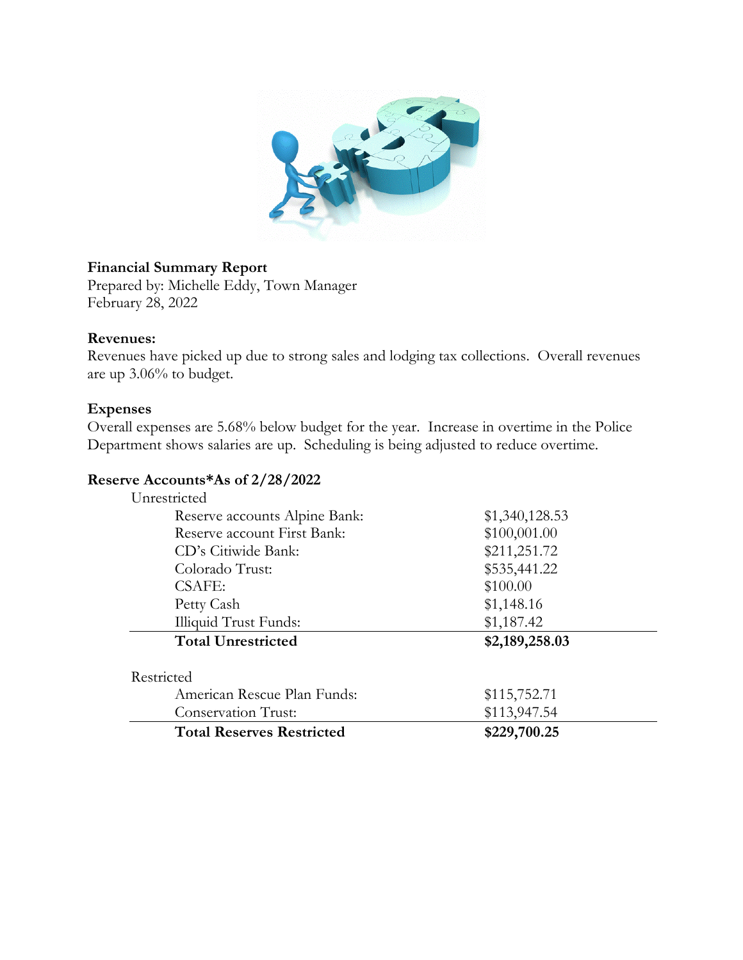

# **Financial Summary Report**

Prepared by: Michelle Eddy, Town Manager February 28, 2022

# **Revenues:**

Revenues have picked up due to strong sales and lodging tax collections. Overall revenues are up 3.06% to budget.

# **Expenses**

Overall expenses are 5.68% below budget for the year. Increase in overtime in the Police Department shows salaries are up. Scheduling is being adjusted to reduce overtime.

# **Reserve Accounts\*As of 2/28/2022**

| Unrestricted                     |                |
|----------------------------------|----------------|
| Reserve accounts Alpine Bank:    | \$1,340,128.53 |
| Reserve account First Bank:      | \$100,001.00   |
| CD's Citiwide Bank:              | \$211,251.72   |
| Colorado Trust:                  | \$535,441.22   |
| <b>CSAFE:</b>                    | \$100.00       |
| Petty Cash                       | \$1,148.16     |
| Illiquid Trust Funds:            | \$1,187.42     |
| <b>Total Unrestricted</b>        | \$2,189,258.03 |
| Restricted                       |                |
| American Rescue Plan Funds:      | \$115,752.71   |
| <b>Conservation Trust:</b>       | \$113,947.54   |
| <b>Total Reserves Restricted</b> | \$229,700.25   |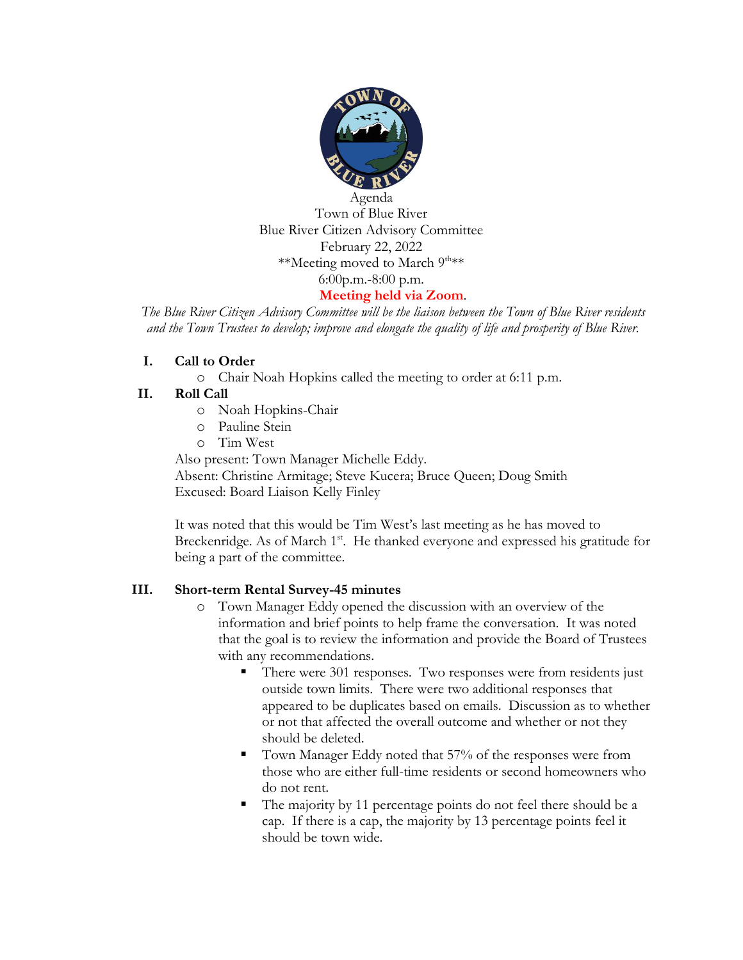

Blue River Citizen Advisory Committee February 22, 2022 \*\*Meeting moved to March 9<sup>th\*\*</sup> 6:00p.m.-8:00 p.m.

## **Meeting held via Zoom**.

*The Blue River Citizen Advisory Committee will be the liaison between the Town of Blue River residents and the Town Trustees to develop; improve and elongate the quality of life and prosperity of Blue River.*

## **I. Call to Order**

o Chair Noah Hopkins called the meeting to order at 6:11 p.m.

## **II. Roll Call**

- o Noah Hopkins-Chair
- o Pauline Stein
- o Tim West

Also present: Town Manager Michelle Eddy.

Absent: Christine Armitage; Steve Kucera; Bruce Queen; Doug Smith Excused: Board Liaison Kelly Finley

It was noted that this would be Tim West's last meeting as he has moved to Breckenridge. As of March 1<sup>st</sup>. He thanked everyone and expressed his gratitude for being a part of the committee.

## **III. Short-term Rental Survey-45 minutes**

- o Town Manager Eddy opened the discussion with an overview of the information and brief points to help frame the conversation. It was noted that the goal is to review the information and provide the Board of Trustees with any recommendations.
	- There were 301 responses. Two responses were from residents just outside town limits. There were two additional responses that appeared to be duplicates based on emails. Discussion as to whether or not that affected the overall outcome and whether or not they should be deleted.
	- Town Manager Eddy noted that 57% of the responses were from those who are either full-time residents or second homeowners who do not rent.
	- The majority by 11 percentage points do not feel there should be a cap. If there is a cap, the majority by 13 percentage points feel it should be town wide.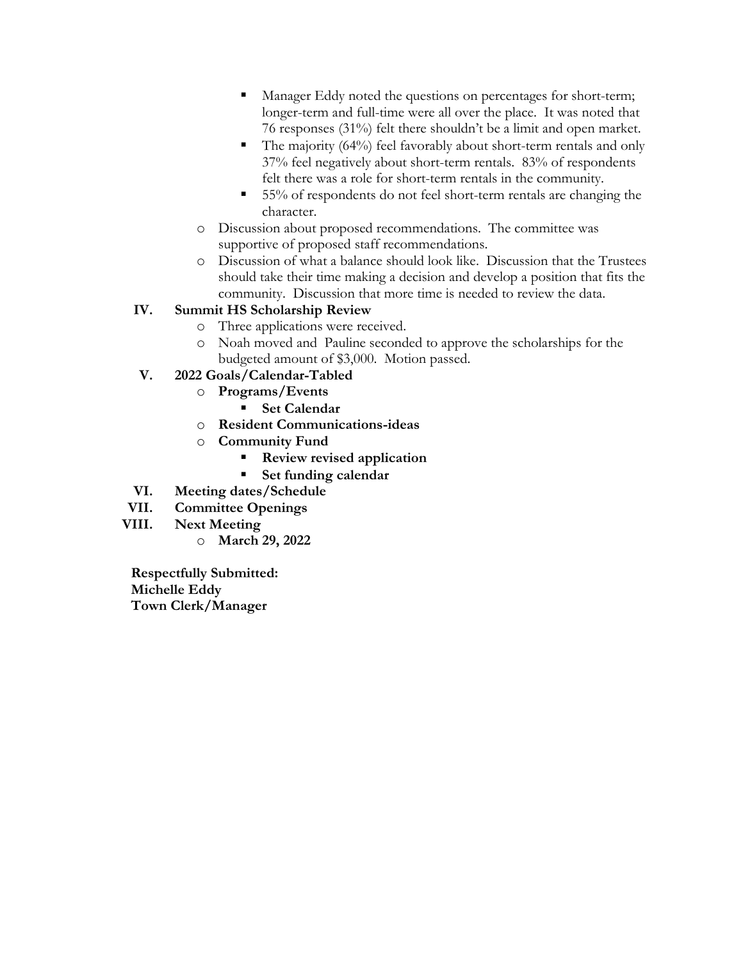- Manager Eddy noted the questions on percentages for short-term; longer-term and full-time were all over the place. It was noted that 76 responses (31%) felt there shouldn't be a limit and open market.
- $\blacksquare$  The majority (64%) feel favorably about short-term rentals and only 37% feel negatively about short-term rentals. 83% of respondents felt there was a role for short-term rentals in the community.
- 55% of respondents do not feel short-term rentals are changing the character.
- o Discussion about proposed recommendations. The committee was supportive of proposed staff recommendations.
- o Discussion of what a balance should look like. Discussion that the Trustees should take their time making a decision and develop a position that fits the community. Discussion that more time is needed to review the data.

# **IV. Summit HS Scholarship Review**

- o Three applications were received.
- o Noah moved and Pauline seconded to approve the scholarships for the budgeted amount of \$3,000. Motion passed.
- **V. 2022 Goals/Calendar-Tabled**
	- o **Programs/Events**
		- **Set Calendar**
	- o **Resident Communications-ideas**
	- o **Community Fund**
		- **Review revised application**
		- **Set funding calendar**
- **VI. Meeting dates/Schedule**
- **VII. Committee Openings**
- **VIII. Next Meeting**
	- o **March 29, 2022**

**Respectfully Submitted: Michelle Eddy Town Clerk/Manager**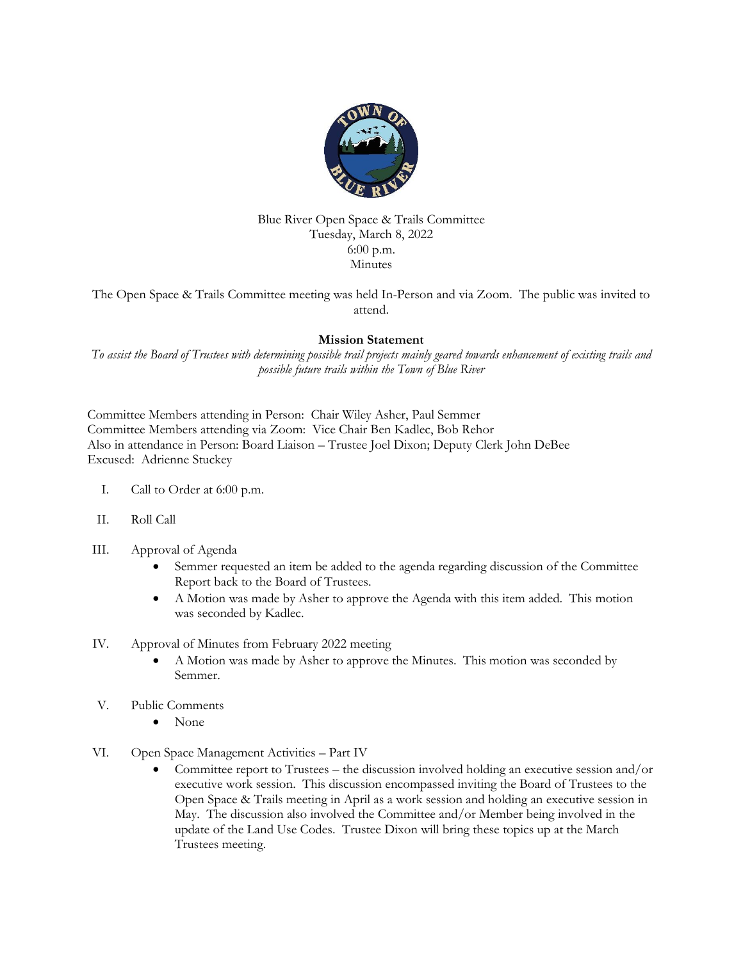

#### Blue River Open Space & Trails Committee Tuesday, March 8, 2022 6:00 p.m. Minutes

The Open Space & Trails Committee meeting was held In-Person and via Zoom. The public was invited to attend.

#### **Mission Statement**

*To assist the Board of Trustees with determining possible trail projects mainly geared towards enhancement of existing trails and possible future trails within the Town of Blue River*

Committee Members attending in Person: Chair Wiley Asher, Paul Semmer Committee Members attending via Zoom: Vice Chair Ben Kadlec, Bob Rehor Also in attendance in Person: Board Liaison – Trustee Joel Dixon; Deputy Clerk John DeBee Excused: Adrienne Stuckey

- I. Call to Order at 6:00 p.m.
- II. Roll Call

#### III. Approval of Agenda

- Semmer requested an item be added to the agenda regarding discussion of the Committee Report back to the Board of Trustees.
- A Motion was made by Asher to approve the Agenda with this item added. This motion was seconded by Kadlec.
- IV. Approval of Minutes from February 2022 meeting
	- A Motion was made by Asher to approve the Minutes. This motion was seconded by Semmer.
- V. Public Comments
	- None
- VI. Open Space Management Activities Part IV
	- Committee report to Trustees the discussion involved holding an executive session and/or executive work session. This discussion encompassed inviting the Board of Trustees to the Open Space & Trails meeting in April as a work session and holding an executive session in May. The discussion also involved the Committee and/or Member being involved in the update of the Land Use Codes. Trustee Dixon will bring these topics up at the March Trustees meeting.